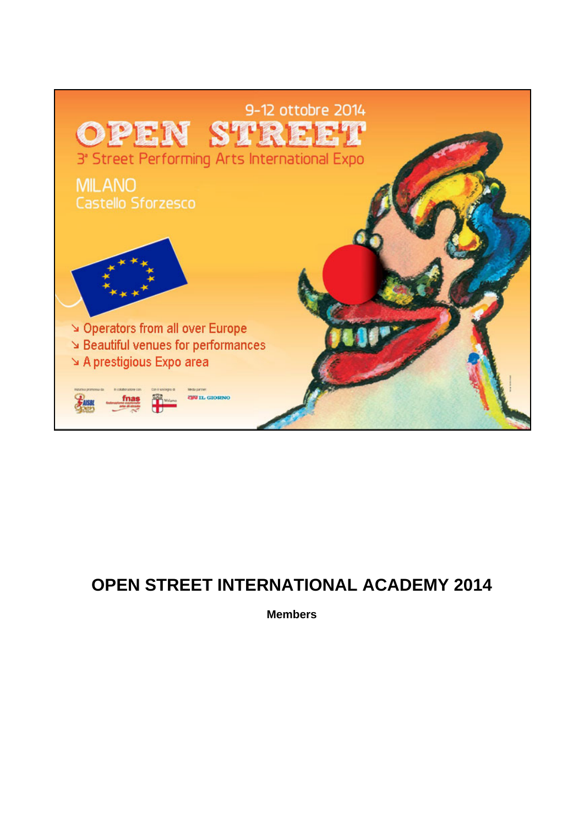

# **OPEN STREET INTERNATIONAL ACADEMY 2014**

**Members**